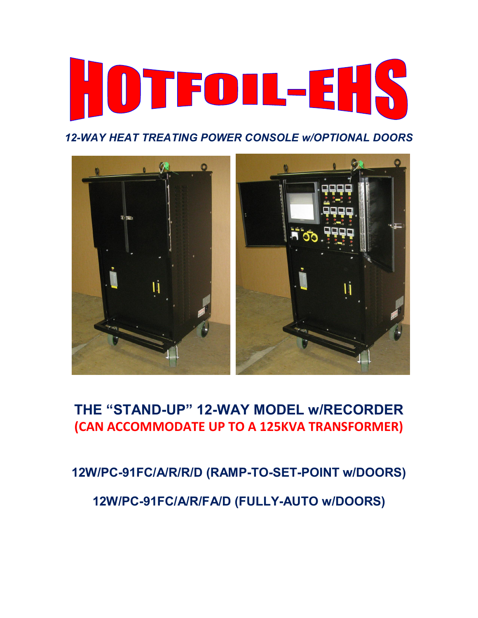

*12-WAY HEAT TREATING POWER CONSOLE w/OPTIONAL DOORS* 



# **THE "STAND-UP" 12-WAY MODEL w/RECORDER (CAN ACCOMMODATE UP TO A 125KVA TRANSFORMER)**

**12W/PC-91FC/A/R/R/D (RAMP-TO-SET-POINT w/DOORS)** 

**12W/PC-91FC/A/R/FA/D (FULLY-AUTO w/DOORS)**